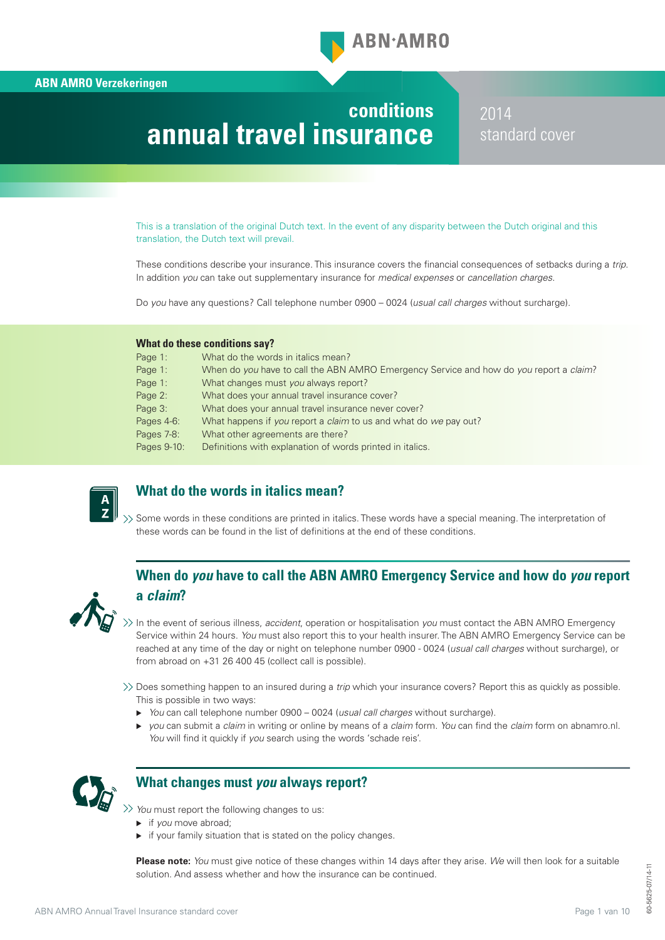

# **conditions annual travel insurance**

2014 standard cover

This is a translation of the original Dutch text. In the event of any disparity between the Dutch original and this translation, the Dutch text will prevail.

These conditions describe your insurance. This insurance covers the financial consequences of setbacks during a trip. In addition *you* can take out supplementary insurance for *medical expenses* or *cancellation charges*.

Do *you* have any questions? Call telephone number 0900 – 0024 (*usual call charges* without surcharge).

#### **What do these conditions say?**

| Page 1:     | What do the words in italics mean?                                                             |
|-------------|------------------------------------------------------------------------------------------------|
| Page 1:     | When do you have to call the ABN AMRO Emergency Service and how do you report a <i>claim</i> ? |
| Page 1:     | What changes must you always report?                                                           |
| Page 2:     | What does your annual travel insurance cover?                                                  |
| Page 3:     | What does your annual travel insurance never cover?                                            |
| Pages 4-6:  | What happens if you report a claim to us and what do we pay out?                               |
| Pages 7-8:  | What other agreements are there?                                                               |
| Pages 9-10: | Definitions with explanation of words printed in italics.                                      |



# **What do the words in italics mean?**

 $\gg$  Some words in these conditions are printed in italics. These words have a special meaning. The interpretation of these words can be found in the list of definitions at the end of these conditions.

# **When do** *you* **have to call the ABN AMRO Emergency Service and how do** *you* **report a** *claim***?**



In the event of serious illness, *accident*, operation or hospitalisation *you* must contact the ABN AMRO Emergency Service within 24 hours. *You* must also report this to your health insurer. The ABN AMRO Emergency Service can be reached at any time of the day or night on telephone number 0900 - 0024 (*usual call charges* without surcharge), or from abroad on +31 26 400 45 (collect call is possible).

Does something happen to an insured during a *trip* which your insurance covers? Report this as quickly as possible. This is possible in two ways:

- *You* can call telephone number 0900 0024 (*usual call charges* without surcharge).
- *you* can submit a *claim* in writing or online by means of a *claim* form. *You* can find the *claim* form on abnamro.nl. *You* will find it quickly if *you* search using the words 'schade reis'.



# **What changes must** *you* **always report?**

*You* must report the following changes to us:

- if *you* move abroad;
- $\triangleright$  if your family situation that is stated on the policy changes.

**Please note:** *You* must give notice of these changes within 14 days after they arise. *We* will then look for a suitable solution. And assess whether and how the insurance can be continued.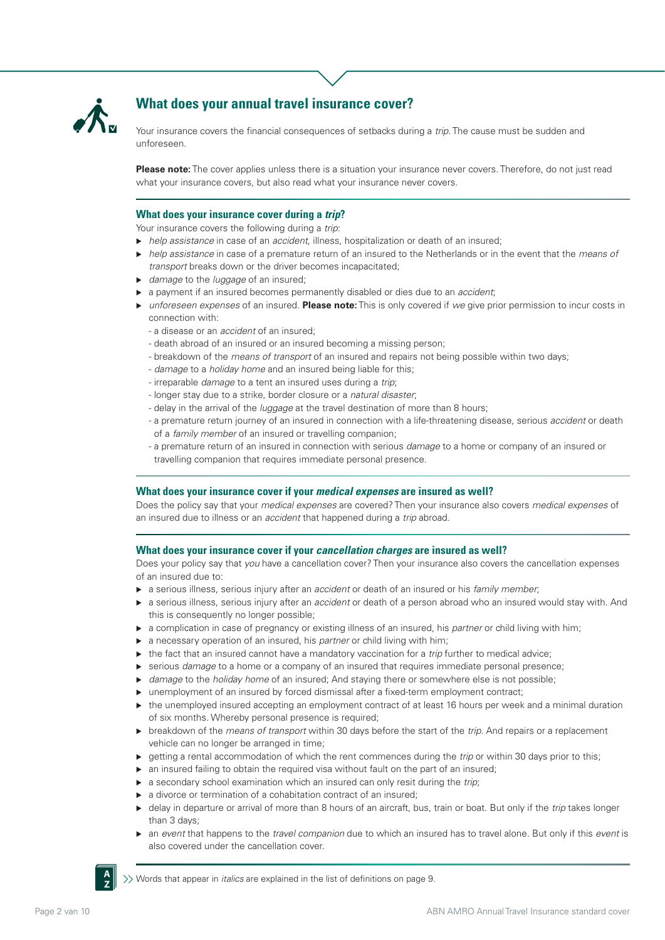

# **What does your annual travel insurance cover?**

Your insurance covers the financial consequences of setbacks during a *trip*. The cause must be sudden and unforeseen.

**Please note:** The cover applies unless there is a situation your insurance never covers. Therefore, do not just read what your insurance covers, but also read what your insurance never covers.

#### **What does your insurance cover during a** *trip***?**

Your insurance covers the following during a *trip*:

- *help assistance* in case of an *accident*, illness, hospitalization or death of an insured;
- *help assistance* in case of a premature return of an insured to the Netherlands or in the event that the *means of transport* breaks down or the driver becomes incapacitated;
- *damage* to the *luggage* of an insured;
- a payment if an insured becomes permanently disabled or dies due to an *accident*;
- *unforeseen expenses* of an insured. **Please note:** This is only covered if *we* give prior permission to incur costs in connection with:
	- a disease or an *accident* of an insured;
	- death abroad of an insured or an insured becoming a missing person;
	- breakdown of the *means of transport* of an insured and repairs not being possible within two days;
	- *damage* to a *holiday home* and an insured being liable for this;
	- irreparable *damage* to a tent an insured uses during a *trip*;
	- longer stay due to a strike, border closure or a *natural disaster*;
	- delay in the arrival of the *luggage* at the travel destination of more than 8 hours;
	- a premature return journey of an insured in connection with a life-threatening disease, serious *accident* or death of a *family member* of an insured or travelling companion;
	- a premature return of an insured in connection with serious *damage* to a home or company of an insured or travelling companion that requires immediate personal presence.

#### **What does your insurance cover if your** *medical expenses* **are insured as well?**

Does the policy say that your *medical expenses* are covered? Then your insurance also covers *medical expenses* of an insured due to illness or an *accident* that happened during a *trip* abroad.

### **What does your insurance cover if your** *cancellation charges* **are insured as well?**

Does your policy say that *you* have a cancellation cover? Then your insurance also covers the cancellation expenses of an insured due to:

- a serious illness, serious injury after an *accident* or death of an insured or his *family member*;
- a serious illness, serious injury after an *accident* or death of a person abroad who an insured would stay with. And this is consequently no longer possible;
- a complication in case of pregnancy or existing illness of an insured, his *partner* or child living with him;
- a necessary operation of an insured, his *partner* or child living with him;
- ▶ the fact that an insured cannot have a mandatory vaccination for a *trip* further to medical advice;
- serious *damage* to a home or a company of an insured that requires immediate personal presence;
- ▶ *damage* to the *holiday home* of an insured; And staying there or somewhere else is not possible;
- unemployment of an insured by forced dismissal after a fixed-term employment contract;
- ► the unemployed insured accepting an employment contract of at least 16 hours per week and a minimal duration of six months. Whereby personal presence is required;
- breakdown of the *means of transport* within 30 days before the start of the *trip*. And repairs or a replacement vehicle can no longer be arranged in time;
- ► getting a rental accommodation of which the rent commences during the *trip* or within 30 days prior to this;
- $\triangleright$  an insured failing to obtain the required visa without fault on the part of an insured;
- a secondary school examination which an insured can only resit during the *trip*;
- ▶ a divorce or termination of a cohabitation contract of an insured;
- delay in departure or arrival of more than 8 hours of an aircraft, bus, train or boat. But only if the *trip* takes longer than 3 days;
- an *event* that happens to the *travel companion* due to which an insured has to travel alone. But only if this *event* is also covered under the cancellation cover.



Words that appear in *italics* are explained in the list of definitions on page 9.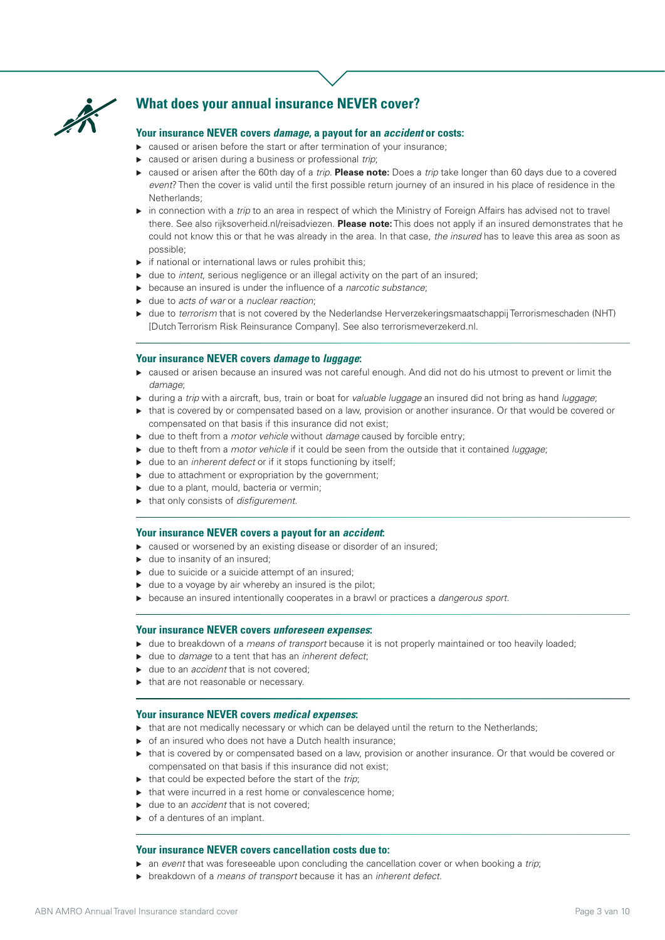

# **What does your annual insurance NEVER cover?**

#### **Your insurance NEVER covers** *damage***, a payout for an** *accident* **or costs:**

- ▶ caused or arisen before the start or after termination of your insurance;
- caused or arisen during a business or professional *trip*;
- caused or arisen after the 60th day of a *trip*. **Please note:** Does a *trip* take longer than 60 days due to a covered *event*? Then the cover is valid until the first possible return journey of an insured in his place of residence in the Netherlands;
- in connection with a *trip* to an area in respect of which the Ministry of Foreign Affairs has advised not to travel there. See also rijksoverheid.nl/reisadviezen. **Please note:** This does not apply if an insured demonstrates that he could not know this or that he was already in the area. In that case, *the insured* has to leave this area as soon as possible;
- $\triangleright$  if national or international laws or rules prohibit this;
- due to *intent*, serious negligence or an illegal activity on the part of an insured;
- because an insured is under the influence of a *narcotic substance*;
- due to *acts of war* or a *nuclear reaction*;
- due to *terrorism* that is not covered by the Nederlandse Herverzekeringsmaatschappij Terrorismeschaden (NHT) [Dutch Terrorism Risk Reinsurance Company]. See also terrorismeverzekerd.nl.

#### **Your insurance NEVER covers** *damage* **to** *luggage***:**

- caused or arisen because an insured was not careful enough. And did not do his utmost to prevent or limit the *damage*;
- during a *trip* with a aircraft, bus, train or boat for *valuable luggage* an insured did not bring as hand *luggage*;
- that is covered by or compensated based on a law, provision or another insurance. Or that would be covered or compensated on that basis if this insurance did not exist;
- due to theft from a *motor vehicle* without *damage* caused by forcible entry;
- due to theft from a *motor vehicle* if it could be seen from the outside that it contained *luggage*;
- ▶ due to an *inherent defect* or if it stops functioning by itself;
- $\blacktriangleright$  due to attachment or expropriation by the government;
- $\blacktriangleright$  due to a plant, mould, bacteria or vermin;
- that only consists of *disfigurement*.

### **Your insurance NEVER covers a payout for an** *accident***:**

- ▶ caused or worsened by an existing disease or disorder of an insured;
- $\blacktriangleright$  due to insanity of an insured;
- $\blacktriangleright$  due to suicide or a suicide attempt of an insured;
- $\blacktriangleright$  due to a voyage by air whereby an insured is the pilot;
- because an insured intentionally cooperates in a brawl or practices a *dangerous sport*.

#### **Your insurance NEVER covers** *unforeseen expenses***:**

- due to breakdown of a *means of transport* because it is not properly maintained or too heavily loaded;
- due to *damage* to a tent that has an *inherent defect*;
- ► due to an *accident* that is not covered:
- $\blacktriangleright$  that are not reasonable or necessary.

#### **Your insurance NEVER covers** *medical expenses***:**

- that are not medically necessary or which can be delayed until the return to the Netherlands;
- $\triangleright$  of an insured who does not have a Dutch health insurance;
- that is covered by or compensated based on a law, provision or another insurance. Or that would be covered or compensated on that basis if this insurance did not exist;
- ▶ that could be expected before the start of the *trip*;
- $\blacktriangleright$  that were incurred in a rest home or convalescence home;
- ► due to an *accident* that is not covered:
- $\triangleright$  of a dentures of an implant.

#### **Your insurance NEVER covers cancellation costs due to:**

- an *event* that was foreseeable upon concluding the cancellation cover or when booking a *trip*;
- breakdown of a *means of transport* because it has an *inherent defect*.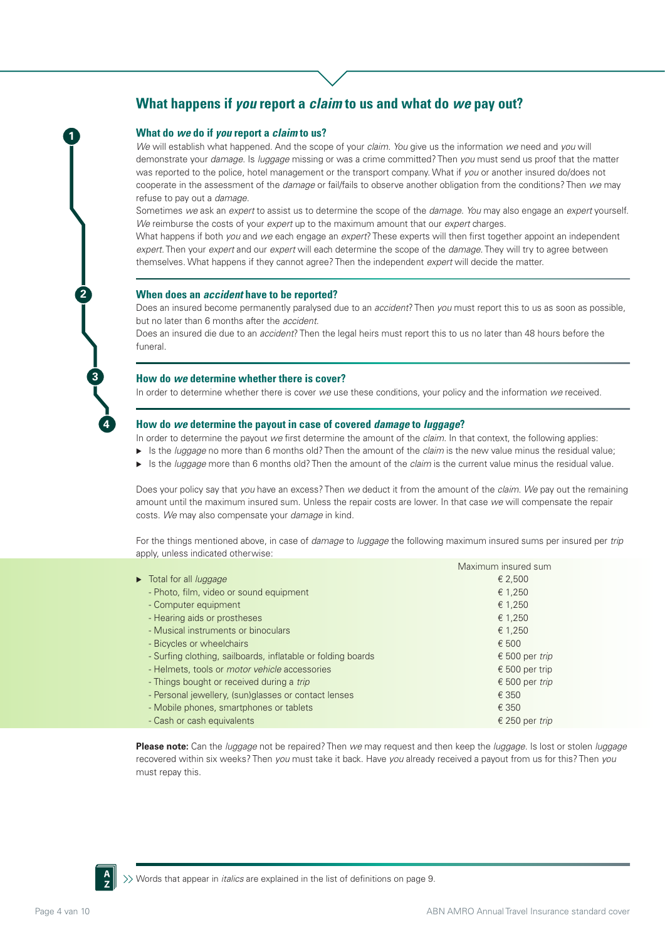# **What happens if** *you* **report a** *claim* **to us and what do** *we* **pay out?**

#### **What do** *we* **do if** *you* **report a** *claim* **to us?**

**1**

**2**

**3**

**4**

*We* will establish what happened. And the scope of your *claim*. *You* give us the information *we* need and *you* will demonstrate your *damage*. Is *luggage* missing or was a crime committed? Then *you* must send us proof that the matter was reported to the police, hotel management or the transport company. What if *you* or another insured do/does not cooperate in the assessment of the *damage* or fail/fails to observe another obligation from the conditions? Then *we* may refuse to pay out a *damage*.

Sometimes *we* ask an *expert* to assist us to determine the scope of the *damage*. *You* may also engage an *expert* yourself. *We* reimburse the costs of your *expert* up to the maximum amount that our *expert* charges.

What happens if both *you* and *we* each engage an *expert*? These experts will then first together appoint an independent *expert*. Then your *expert* and our *expert* will each determine the scope of the *damage*. They will try to agree between themselves. What happens if they cannot agree? Then the independent *expert* will decide the matter.

#### **When does an** *accident* **have to be reported?**

Does an insured become permanently paralysed due to an *accident*? Then *you* must report this to us as soon as possible, but no later than 6 months after the *accident*.

Does an insured die due to an *accident*? Then the legal heirs must report this to us no later than 48 hours before the funeral.

#### **How do** *we* **determine whether there is cover?**

In order to determine whether there is cover *we* use these conditions, your policy and the information *we* received.

#### **How do** *we* **determine the payout in case of covered** *damage* **to** *luggage***?**

In order to determine the payout *we* first determine the amount of the *claim*. In that context, the following applies:

- Is the *luggage* no more than 6 months old? Then the amount of the *claim* is the new value minus the residual value;
- Is the *luggage* more than 6 months old? Then the amount of the *claim* is the current value minus the residual value.

Does your policy say that *you* have an excess? Then *we* deduct it from the amount of the *claim*. *We* pay out the remaining amount until the maximum insured sum. Unless the repair costs are lower. In that case *we* will compensate the repair costs. *We* may also compensate your *damage* in kind.

For the things mentioned above, in case of *damage* to *luggage* the following maximum insured sums per insured per *trip* apply, unless indicated otherwise:

|                                                              | Maximum insured sum |
|--------------------------------------------------------------|---------------------|
| Total for all <i>luggage</i>                                 | € 2,500             |
| - Photo, film, video or sound equipment                      | € 1,250             |
| - Computer equipment                                         | € 1,250             |
| - Hearing aids or prostheses                                 | € 1,250             |
| - Musical instruments or binoculars                          | € 1,250             |
| - Bicycles or wheelchairs                                    | € 500               |
| - Surfing clothing, sailboards, inflatable or folding boards | € 500 per trip      |
| - Helmets, tools or <i>motor vehicle</i> accessories         | € 500 per trip      |
| - Things bought or received during a trip                    | € 500 per trip      |
| - Personal jewellery, (sun)glasses or contact lenses         | € 350               |
| - Mobile phones, smartphones or tablets                      | € 350               |
| - Cash or cash equivalents                                   | € 250 per trip      |
|                                                              |                     |

**Please note:** Can the *luggage* not be repaired? Then *we* may request and then keep the *luggage*. Is lost or stolen *luggage* recovered within six weeks? Then *you* must take it back. Have *you* already received a payout from us for this? Then *you* must repay this.



 $\gg$  Words that appear in *italics* are explained in the list of definitions on page 9.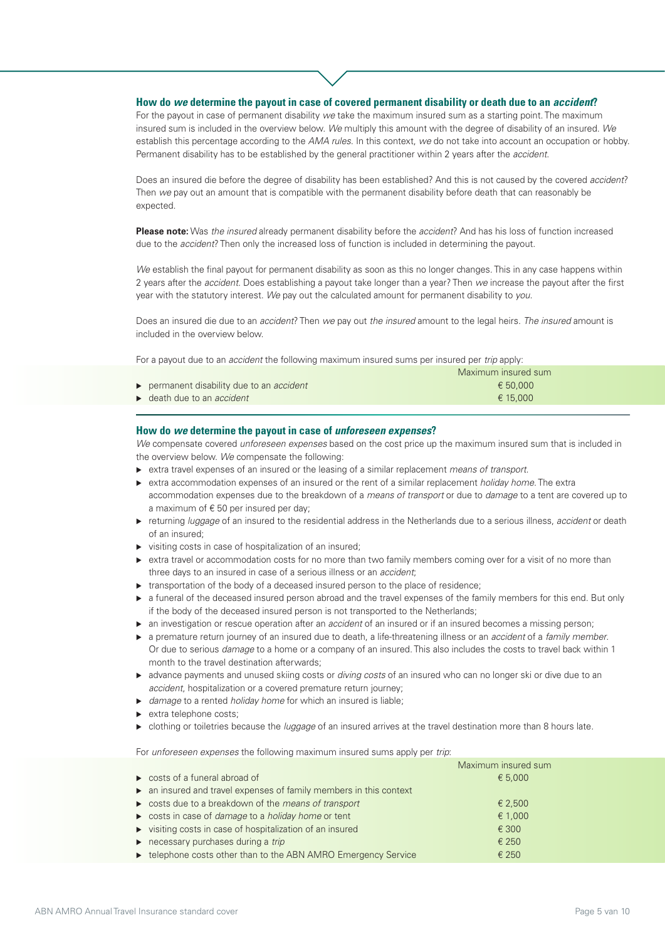### **How do** *we* **determine the payout in case of covered permanent disability or death due to an** *accident***?**

For the payout in case of permanent disability *we* take the maximum insured sum as a starting point. The maximum insured sum is included in the overview below. *We* multiply this amount with the degree of disability of an insured. *We* establish this percentage according to the *AMA rules*. In this context, *we* do not take into account an occupation or hobby. Permanent disability has to be established by the general practitioner within 2 years after the *accident*.

Does an insured die before the degree of disability has been established? And this is not caused by the covered *accident*? Then *we* pay out an amount that is compatible with the permanent disability before death that can reasonably be expected.

**Please note:** Was *the insured* already permanent disability before the *accident*? And has his loss of function increased due to the *accident*? Then only the increased loss of function is included in determining the payout.

*We* establish the final payout for permanent disability as soon as this no longer changes. This in any case happens within 2 years after the *accident*. Does establishing a payout take longer than a year? Then *we* increase the payout after the first year with the statutory interest. *We* pay out the calculated amount for permanent disability to *you*.

Does an insured die due to an *accident*? Then *we* pay out *the insured* amount to the legal heirs. *The insured* amount is included in the overview below.

For a payout due to an *accident* the following maximum insured sums per insured per *trip* apply:

|                                                | Maximum insured sum |  |
|------------------------------------------------|---------------------|--|
| permanent disability due to an <i>accident</i> | € 50.000            |  |
| $\rightarrow$ death due to an <i>accident</i>  | € 15.000            |  |

#### **How do** *we* **determine the payout in case of** *unforeseen expenses***?**

*We* compensate covered *unforeseen expenses* based on the cost price up the maximum insured sum that is included in the overview below. *We* compensate the following:

- extra travel expenses of an insured or the leasing of a similar replacement *means of transport*.
- extra accommodation expenses of an insured or the rent of a similar replacement *holiday home*. The extra accommodation expenses due to the breakdown of a *means of transport* or due to *damage* to a tent are covered up to a maximum of  $\epsilon$  50 per insured per day;
- returning *luggage* of an insured to the residential address in the Netherlands due to a serious illness, *accident* or death of an insured;
- $\triangleright$  visiting costs in case of hospitalization of an insured;
- $\triangleright$  extra travel or accommodation costs for no more than two family members coming over for a visit of no more than three days to an insured in case of a serious illness or an *accident*;
- $\triangleright$  transportation of the body of a deceased insured person to the place of residence;
- $\triangleright$  a funeral of the deceased insured person abroad and the travel expenses of the family members for this end. But only if the body of the deceased insured person is not transported to the Netherlands;
- an investigation or rescue operation after an *accident* of an insured or if an insured becomes a missing person;
- a premature return journey of an insured due to death, a life-threatening illness or an *accident* of a *family member*. Or due to serious *damage* to a home or a company of an insured. This also includes the costs to travel back within 1 month to the travel destination afterwards;
- advance payments and unused skiing costs or *diving costs* of an insured who can no longer ski or dive due to an *accident*, hospitalization or a covered premature return journey;
- *damage* to a rented *holiday home* for which an insured is liable;
- $\blacktriangleright$  extra telephone costs;
- clothing or toiletries because the *luggage* of an insured arrives at the travel destination more than 8 hours late.

For *unforeseen expenses* the following maximum insured sums apply per *trip*:

|                                                                           | Maximum insured sum |
|---------------------------------------------------------------------------|---------------------|
| $\triangleright$ costs of a funeral abroad of                             | € 5,000             |
| • an insured and travel expenses of family members in this context        |                     |
| ► costs due to a breakdown of the means of transport                      | € 2.500             |
| ► costs in case of <i>damage</i> to a <i>holiday home</i> or tent         | € 1,000             |
| visiting costs in case of hospitalization of an insured                   | € 300               |
| $\triangleright$ necessary purchases during a trip                        | € 250               |
| Example 2015 telephone costs other than to the ABN AMRO Emergency Service | € 250               |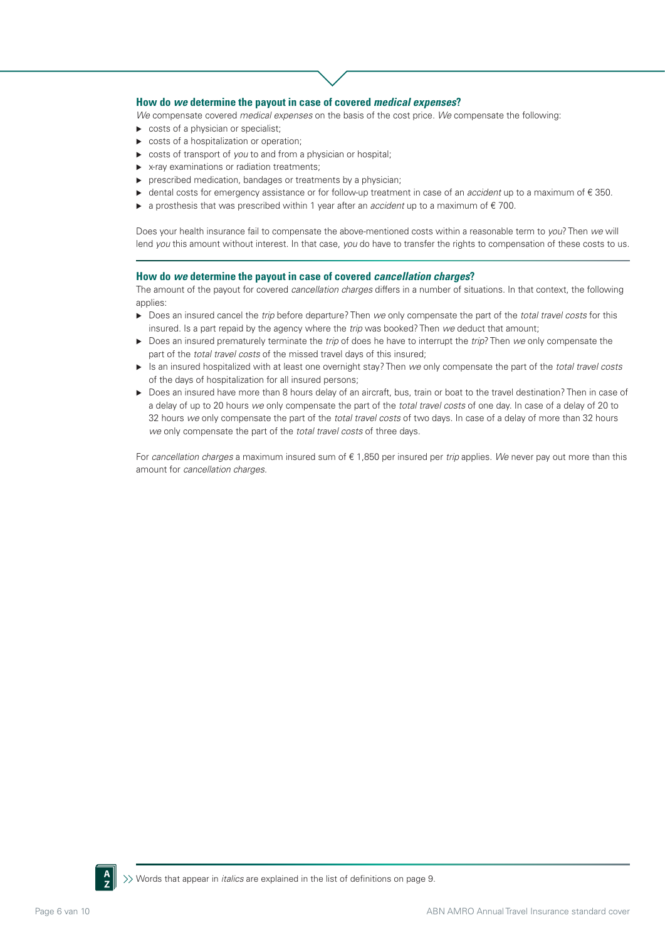## **How do** *we* **determine the payout in case of covered** *medical expenses***?**

*We* compensate covered *medical expenses* on the basis of the cost price. *We* compensate the following:

- $\triangleright$  costs of a physician or specialist;
- costs of a hospitalization or operation;
- costs of transport of *you* to and from a physician or hospital;
- ▶ x-ray examinations or radiation treatments;
- prescribed medication, bandages or treatments by a physician;
- dental costs for emergency assistance or for follow-up treatment in case of an *accident* up to a maximum of € 350.
- a prosthesis that was prescribed within 1 year after an *accident* up to a maximum of € 700.

Does your health insurance fail to compensate the above-mentioned costs within a reasonable term to *you*? Then *we* will lend *you* this amount without interest. In that case, *you* do have to transfer the rights to compensation of these costs to us.

#### **How do** *we* **determine the payout in case of covered** *cancellation charges***?**

The amount of the payout for covered *cancellation charges* differs in a number of situations. In that context, the following applies:

- Does an insured cancel the *trip* before departure? Then *we* only compensate the part of the *total travel costs* for this insured. Is a part repaid by the agency where the *trip* was booked? Then *we* deduct that amount;
- Does an insured prematurely terminate the *trip* of does he have to interrupt the *trip*? Then *we* only compensate the part of the *total travel costs* of the missed travel days of this insured;
- Is an insured hospitalized with at least one overnight stay? Then *we* only compensate the part of the *total travel costs* of the days of hospitalization for all insured persons;
- Does an insured have more than 8 hours delay of an aircraft, bus, train or boat to the travel destination? Then in case of a delay of up to 20 hours *we* only compensate the part of the *total travel costs* of one day. In case of a delay of 20 to 32 hours *we* only compensate the part of the *total travel costs* of two days. In case of a delay of more than 32 hours *we* only compensate the part of the *total travel costs* of three days.

For *cancellation charges* a maximum insured sum of € 1,850 per insured per *trip* applies. *We* never pay out more than this amount for *cancellation charges*.

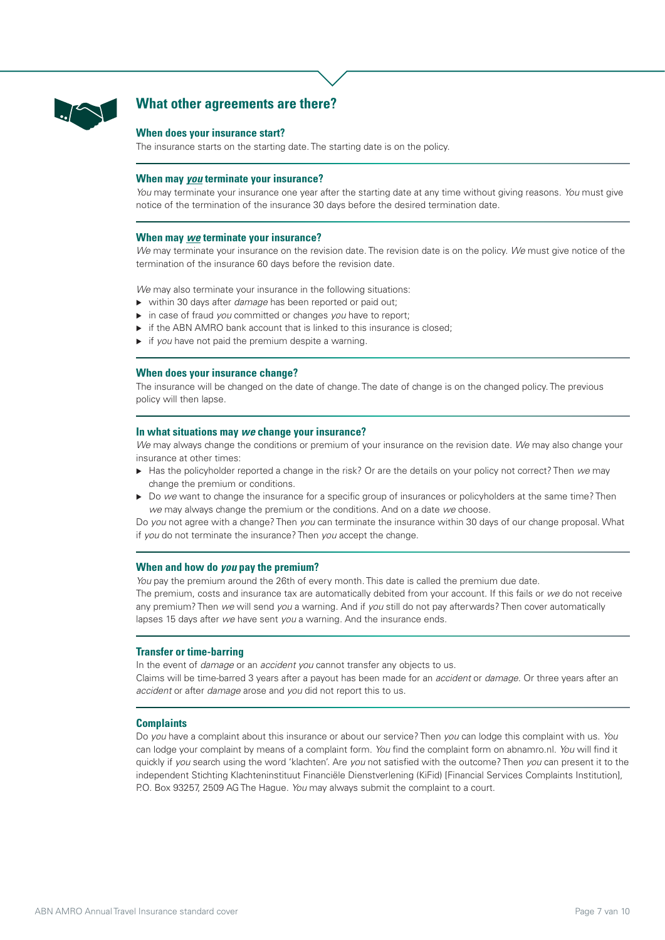

# **What other agreements are there?**

#### **When does your insurance start?**

The insurance starts on the starting date. The starting date is on the policy.

## **When may** *you* **terminate your insurance?**

*You* may terminate your insurance one year after the starting date at any time without giving reasons. *You* must give notice of the termination of the insurance 30 days before the desired termination date.

#### **When may** *we* **terminate your insurance?**

*We* may terminate your insurance on the revision date. The revision date is on the policy. *We* must give notice of the termination of the insurance 60 days before the revision date.

*We* may also terminate your insurance in the following situations:

- within 30 days after *damage* has been reported or paid out;
- ▶ in case of fraud *you* committed or changes *you* have to report;
- $\triangleright$  if the ABN AMRO bank account that is linked to this insurance is closed;
- **i** if you have not paid the premium despite a warning.

### **When does your insurance change?**

The insurance will be changed on the date of change. The date of change is on the changed policy. The previous policy will then lapse.

#### **In what situations may** *we* **change your insurance?**

*We* may always change the conditions or premium of your insurance on the revision date. *We* may also change your insurance at other times:

- Has the policyholder reported a change in the risk? Or are the details on your policy not correct? Then *we* may change the premium or conditions.
- Do *we* want to change the insurance for a specific group of insurances or policyholders at the same time? Then *we* may always change the premium or the conditions. And on a date *we* choose.

Do *you* not agree with a change? Then *you* can terminate the insurance within 30 days of our change proposal. What if *you* do not terminate the insurance? Then *you* accept the change.

#### **When and how do** *you* **pay the premium?**

*You* pay the premium around the 26th of every month. This date is called the premium due date. The premium, costs and insurance tax are automatically debited from your account. If this fails or *we* do not receive any premium? Then *we* will send *you* a warning. And if *you* still do not pay afterwards? Then cover automatically lapses 15 days after *we* have sent *you* a warning. And the insurance ends.

### **Transfer or time-barring**

In the event of *damage* or an *accident you* cannot transfer any objects to us. Claims will be time-barred 3 years after a payout has been made for an *accident* or *damage*. Or three years after an *accident* or after *damage* arose and *you* did not report this to us.

#### **Complaints**

Do *you* have a complaint about this insurance or about our service? Then *you* can lodge this complaint with us. *You* can lodge your complaint by means of a complaint form. *You* find the complaint form on abnamro.nl. *You* will find it quickly if *you* search using the word 'klachten'. Are *you* not satisfied with the outcome? Then *you* can present it to the independent Stichting Klachteninstituut Financiële Dienstverlening (KiFid) [Financial Services Complaints Institution], P.O. Box 93257, 2509 AG The Hague. *You* may always submit the complaint to a court.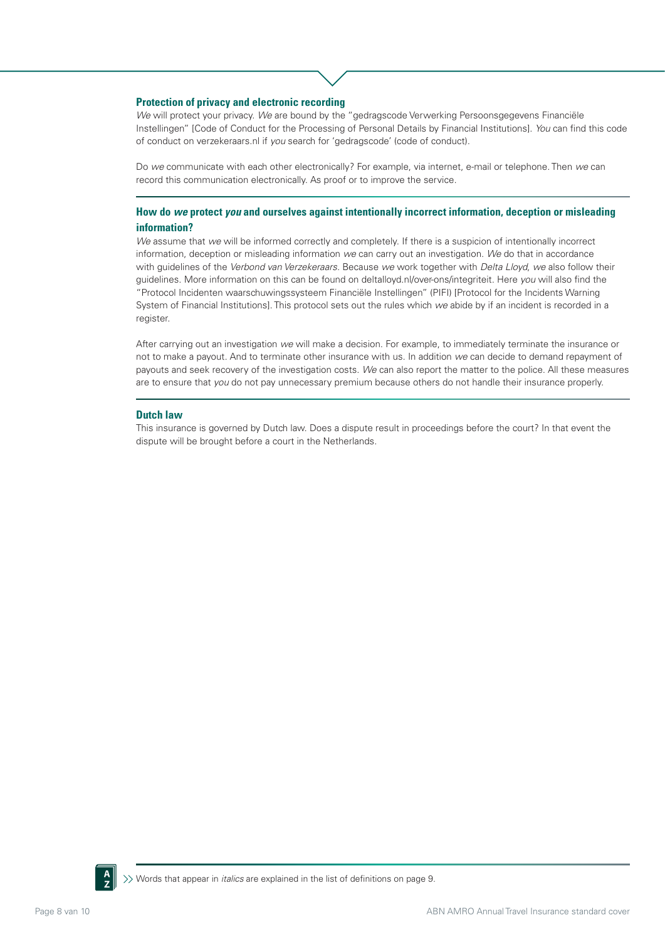#### **Protection of privacy and electronic recording**

*We* will protect your privacy. *We* are bound by the "gedragscode Verwerking Persoonsgegevens Financiële Instellingen" [Code of Conduct for the Processing of Personal Details by Financial Institutions]. *You* can find this code of conduct on verzekeraars.nl if *you* search for 'gedragscode' (code of conduct).

Do *we* communicate with each other electronically? For example, via internet, e-mail or telephone. Then *we* can record this communication electronically. As proof or to improve the service.

# **How do** *we* **protect** *you* **and ourselves against intentionally incorrect information, deception or misleading information?**

*We* assume that *we* will be informed correctly and completely. If there is a suspicion of intentionally incorrect information, deception or misleading information *we* can carry out an investigation. *We* do that in accordance with guidelines of the *Verbond van Verzekeraars*. Because *we* work together with *Delta Lloyd*, *we* also follow their guidelines. More information on this can be found on deltalloyd.nl/over-ons/integriteit. Here *you* will also find the "Protocol Incidenten waarschuwingssysteem Financiële Instellingen" (PIFI) [Protocol for the Incidents Warning System of Financial Institutions]. This protocol sets out the rules which *we* abide by if an incident is recorded in a register.

After carrying out an investigation *we* will make a decision. For example, to immediately terminate the insurance or not to make a payout. And to terminate other insurance with us. In addition *we* can decide to demand repayment of payouts and seek recovery of the investigation costs. *We* can also report the matter to the police. All these measures are to ensure that *you* do not pay unnecessary premium because others do not handle their insurance properly.

### **Dutch law**

This insurance is governed by Dutch law. Does a dispute result in proceedings before the court? In that event the dispute will be brought before a court in the Netherlands.

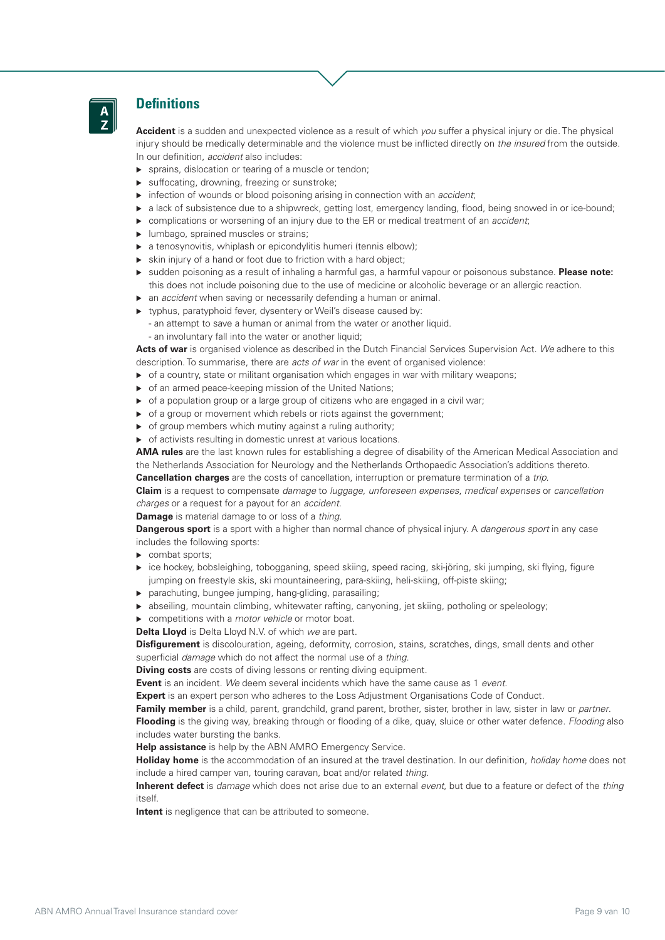

# **Definitions**

**Accident** is a sudden and unexpected violence as a result of which *you* suffer a physical injury or die. The physical injury should be medically determinable and the violence must be inflicted directly on *the insured* from the outside. In our definition, *accident* also includes:

- ▶ sprains, dislocation or tearing of a muscle or tendon:
- suffocating, drowning, freezing or sunstroke;
- infection of wounds or blood poisoning arising in connection with an *accident*;
- a lack of subsistence due to a shipwreck, getting lost, emergency landing, flood, being snowed in or ice-bound;
- complications or worsening of an injury due to the ER or medical treatment of an *accident*;
- **Immago, sprained muscles or strains;**
- a tenosynovitis, whiplash or epicondylitis humeri (tennis elbow);
- skin injury of a hand or foot due to friction with a hard object;
- sudden poisoning as a result of inhaling a harmful gas, a harmful vapour or poisonous substance. **Please note:** this does not include poisoning due to the use of medicine or alcoholic beverage or an allergic reaction.
- an *accident* when saving or necessarily defending a human or animal.
- typhus, paratyphoid fever, dysentery or Weil's disease caused by:
	- an attempt to save a human or animal from the water or another liquid.
	- an involuntary fall into the water or another liquid;

**Acts of war** is organised violence as described in the Dutch Financial Services Supervision Act. *We* adhere to this description. To summarise, there are *acts of war* in the event of organised violence:

- $\triangleright$  of a country, state or militant organisation which engages in war with military weapons;
- ▶ of an armed peace-keeping mission of the United Nations:
- $\triangleright$  of a population group or a large group of citizens who are engaged in a civil war;
- $\triangleright$  of a group or movement which rebels or riots against the government;
- $\triangleright$  of group members which mutiny against a ruling authority;
- of activists resulting in domestic unrest at various locations.

**AMA rules** are the last known rules for establishing a degree of disability of the American Medical Association and the Netherlands Association for Neurology and the Netherlands Orthopaedic Association's additions thereto.

**Cancellation charges** are the costs of cancellation, interruption or premature termination of a *trip*.

**Claim** is a request to compensate *damage* to *luggage*, *unforeseen expenses*, *medical expenses* or *cancellation charges* or a request for a payout for an *accident*.

**Damage** is material damage to or loss of a *thing*.

**Dangerous sport** is a sport with a higher than normal chance of physical injury. A *dangerous sport* in any case includes the following sports:

- combat sports;
- ice hockey, bobsleighing, tobogganing, speed skiing, speed racing, ski-jöring, ski jumping, ski flying, figure jumping on freestyle skis, ski mountaineering, para-skiing, heli-skiing, off-piste skiing;
- parachuting, bungee jumping, hang-gliding, parasailing;
- abseiling, mountain climbing, whitewater rafting, canyoning, jet skiing, potholing or speleology;
- competitions with a *motor vehicle* or motor boat.

**Delta Lloyd** is Delta Lloyd N.V. of which *we* are part.

**Disfigurement** is discolouration, ageing, deformity, corrosion, stains, scratches, dings, small dents and other superficial *damage* which do not affect the normal use of a *thing*.

**Diving costs** are costs of diving lessons or renting diving equipment.

**Event** is an incident. *We* deem several incidents which have the same cause as 1 *event*.

**Expert** is an expert person who adheres to the Loss Adjustment Organisations Code of Conduct.

**Family member** is a child, parent, grandchild, grand parent, brother, sister, brother in law, sister in law or *partner*.

**Flooding** is the giving way, breaking through or flooding of a dike, quay, sluice or other water defence. *Flooding* also includes water bursting the banks.

**Help assistance** is help by the ABN AMRO Emergency Service.

**Holiday home** is the accommodation of an insured at the travel destination. In our definition, *holiday home* does not include a hired camper van, touring caravan, boat and/or related *thing*.

**Inherent defect** is *damage* which does not arise due to an external *event*, but due to a feature or defect of the *thing* itself.

**Intent** is negligence that can be attributed to someone.